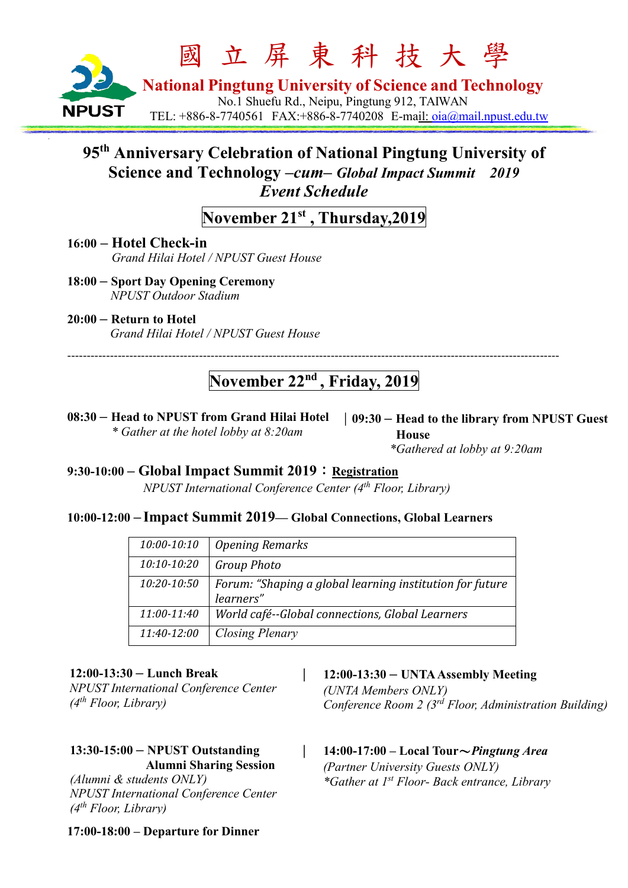

# **95th Anniversary Celebration of National Pingtung University of Science and Technology** *–cum– Global Impact Summit 2019 Event Schedule*

# **November 21st , Thursday,2019**

**16:00 – Hotel Check-in***Grand Hilai Hotel / NPUST Guest House*

- **18:00 – Sport Day Opening Ceremony** *NPUST Outdoor Stadium*
- **20:00 – Return to Hotel**  *Grand Hilai Hotel / NPUST Guest House*

# **November 22nd , Friday, 2019**

-------------------------------------------------------------------------------------------------------------------------------

**08:30 – Head to NPUST from Grand Hilai Hotel** *\* Gather at the hotel lobby at 8:20am*

|**09:30 – Head to the library from NPUST Guest House** *\*Gathered at lobby at 9:20am*

**9:30-10:00 – Global Impact Summit 2019**:**Registration**

*NPUST International Conference Center (4th Floor, Library)*

### **10:00-12:00 – Impact Summit 2019— Global Connections, Global Learners**

| 10:00-10:10     | <b>Opening Remarks</b>                                                |
|-----------------|-----------------------------------------------------------------------|
| $10:10-10:20$   | <b>Group Photo</b>                                                    |
| $10:20 - 10:50$ | Forum: "Shaping a global learning institution for future<br>learners" |
| $11:00-11:40$   | World café--Global connections, Global Learners                       |
|                 |                                                                       |
| 11:40-12:00     | Closing Plenary                                                       |

### **12:00-13:30 – Lunch Break**

*NPUST International Conference Center (4th Floor, Library)*

### **13:30-15:00 – NPUST Outstanding Alumni Sharing Session**

*(Alumni & students ONLY) NPUST International Conference Center (4th Floor, Library)*

### | **12:00-13:30 – UNTA Assembly Meeting**

*(UNTA Members ONLY) Conference Room 2 (3rd Floor, Administration Building)*

# | **14:00-17:00 – Local Tour**~*Pingtung Area*

*(Partner University Guests ONLY) \*Gather at 1st Floor- Back entrance, Library*

### **17:00-18:00 – Departure for Dinner**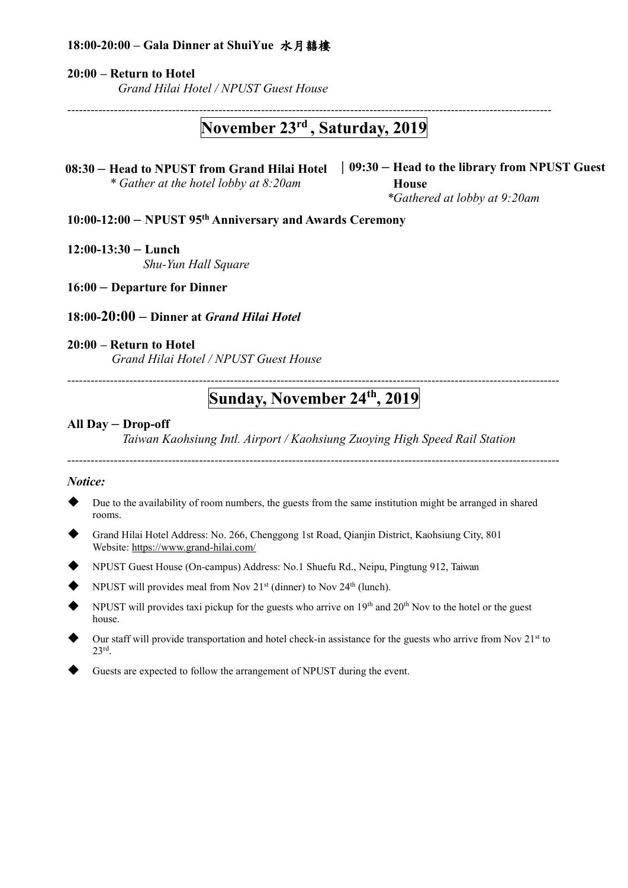### **18:00-20:00 – Gala Dinner at ShuiYue** 水月囍樓

#### **20:00 – Return to Hotel**

*Grand Hilai Hotel / NPUST Guest House*

-----------------------------------------------------------------------------------------------------------------------------

## **November 23rd , Saturday, 2019**

**08:30 – Head to NPUST from Grand Hilai Hotel** |**09:30 – Head to the library from NPUST Guest** *\* Gather at the hotel lobby at 8:20am*

**House** *\*Gathered at lobby at 9:20am*

**10:00-12:00 – NPUST 95th Anniversary and Awards Ceremony**

#### **12:00-13:30 – Lunch**

*Shu-Yun Hall Square*

**16:00 – Departure for Dinner**

#### **18:00-20:00 – Dinner at** *Grand Hilai Hotel*

### **20:00 – Return to Hotel**

*Grand Hilai Hotel / NPUST Guest House*

### ------------------------------------------------------------------------------------------------------------------------------- **Sunday, November 24th , 2019**

#### **All Day – Drop-off**

*Taiwan Kaohsiung Intl. Airport / Kaohsiung Zuoying High Speed Rail Station*

-------------------------------------------------------------------------------------------------------------------------------

#### *Notice:*

- Due to the availability of room numbers, the guests from the same institution might be arranged in shared rooms.
- Grand Hilai Hotel Address: No. 266, Chenggong 1st Road, Qianjin District, Kaohsiung City, 801 Website:<https://www.grand-hilai.com/>
- NPUST Guest House (On-campus) Address: No.1 Shuefu Rd., Neipu, Pingtung 912, Taiwan
- NPUST will provides meal from Nov  $21<sup>st</sup>$  (dinner) to Nov  $24<sup>th</sup>$  (lunch).
- NPUST will provides taxi pickup for the guests who arrive on  $19<sup>th</sup>$  and  $20<sup>th</sup>$  Nov to the hotel or the guest house.
- Our staff will provide transportation and hotel check-in assistance for the guests who arrive from Nov 21<sup>st</sup> to 23rd.
- Guests are expected to follow the arrangement of NPUST during the event.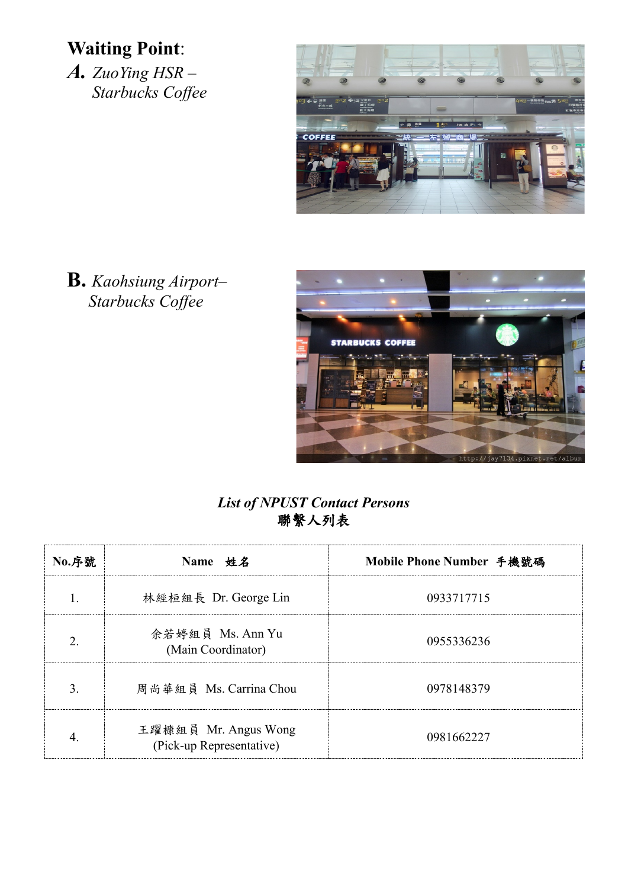# **Waiting Point**:

*A. ZuoYing HSR – Starbucks Coffee*



**B.** *Kaohsiung Airport– Starbucks Coffee*



## *List of NPUST Contact Persons* 聯繫人列表

| <b>No.序號</b> | Name 姓名                                          | Mobile Phone Number 手機號碼 |
|--------------|--------------------------------------------------|--------------------------|
|              | 林經桓組長 Dr. George Lin                             | 0933717715               |
|              | 余若婷組員 Ms. Ann Yu<br>(Main Coordinator)           | 0955336236               |
|              | 周尚華組員 Ms. Carrina Chou                           | 0978148379               |
|              | 王躍槺組員 Mr. Angus Wong<br>(Pick-up Representative) | 0981662227               |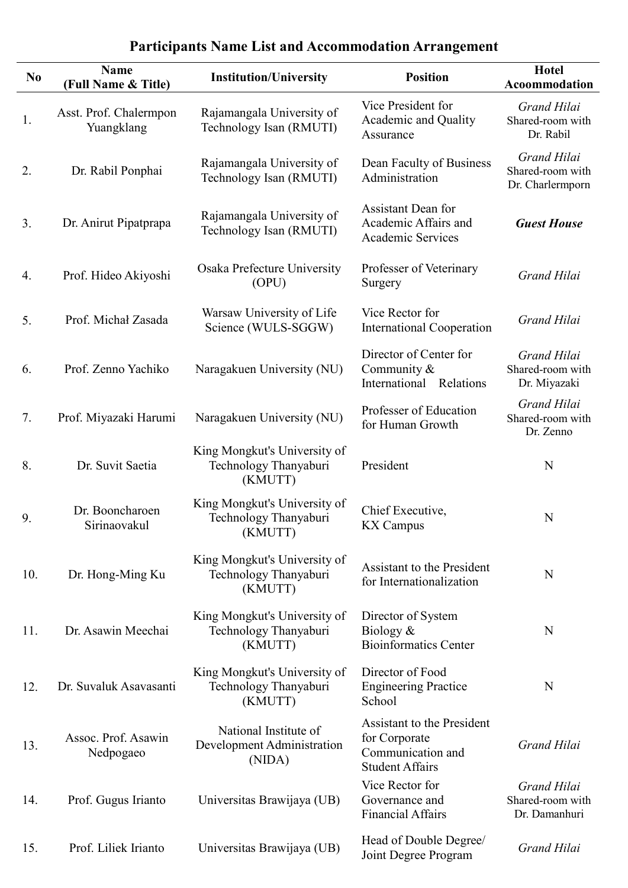| N <sub>0</sub> | <b>Name</b><br>(Full Name & Title)   | <b>Institution/University</b>                                    | <b>Position</b>                                                                            | <b>Hotel</b><br>Acoommodation                           |
|----------------|--------------------------------------|------------------------------------------------------------------|--------------------------------------------------------------------------------------------|---------------------------------------------------------|
| 1.             | Asst. Prof. Chalermpon<br>Yuangklang | Rajamangala University of<br>Technology Isan (RMUTI)             | Vice President for<br>Academic and Quality<br>Assurance                                    | Grand Hilai<br>Shared-room with<br>Dr. Rabil            |
| 2.             | Dr. Rabil Ponphai                    | Rajamangala University of<br>Technology Isan (RMUTI)             | Dean Faculty of Business<br>Administration                                                 | Grand Hilai<br>Shared-room with<br>Dr. Charlermporn     |
| 3.             | Dr. Anirut Pipatprapa                | Rajamangala University of<br>Technology Isan (RMUTI)             | <b>Assistant Dean for</b><br>Academic Affairs and<br><b>Academic Services</b>              | <b>Guest House</b>                                      |
| 4.             | Prof. Hideo Akiyoshi                 | Osaka Prefecture University<br>(OPU)                             | Professer of Veterinary<br>Surgery                                                         | <b>Grand Hilai</b>                                      |
| 5.             | Prof. Michał Zasada                  | Warsaw University of Life<br>Science (WULS-SGGW)                 | Vice Rector for<br><b>International Cooperation</b>                                        | <b>Grand Hilai</b>                                      |
| 6.             | Prof. Zenno Yachiko                  | Naragakuen University (NU)                                       | Director of Center for<br>Community &<br>International Relations                           | <b>Grand Hilai</b><br>Shared-room with<br>Dr. Miyazaki  |
| 7.             | Prof. Miyazaki Harumi                | Naragakuen University (NU)                                       | Professer of Education<br>for Human Growth                                                 | Grand Hilai<br>Shared-room with<br>Dr. Zenno            |
| 8.             | Dr. Suvit Saetia                     | King Mongkut's University of<br>Technology Thanyaburi<br>(KMUTT) | President                                                                                  | N                                                       |
| 9.             | Dr. Booncharoen<br>Sirinaovakul      | King Mongkut's University of<br>Technology Thanyaburi<br>(KMUTT) | Chief Executive,<br><b>KX</b> Campus                                                       | N                                                       |
| 10.            | Dr. Hong-Ming Ku                     | King Mongkut's University of<br>Technology Thanyaburi<br>(KMUTT) | Assistant to the President<br>for Internationalization                                     | N                                                       |
| 11.            | Dr. Asawin Meechai                   | King Mongkut's University of<br>Technology Thanyaburi<br>(KMUTT) | Director of System<br>Biology $&$<br><b>Bioinformatics Center</b>                          | N                                                       |
| 12.            | Dr. Suvaluk Asavasanti               | King Mongkut's University of<br>Technology Thanyaburi<br>(KMUTT) | Director of Food<br><b>Engineering Practice</b><br>School                                  | N                                                       |
| 13.            | Assoc. Prof. Asawin<br>Nedpogaeo     | National Institute of<br>Development Administration<br>(NIDA)    | Assistant to the President<br>for Corporate<br>Communication and<br><b>Student Affairs</b> | <b>Grand Hilai</b>                                      |
| 14.            | Prof. Gugus Irianto                  | Universitas Brawijaya (UB)                                       | Vice Rector for<br>Governance and<br><b>Financial Affairs</b>                              | <b>Grand Hilai</b><br>Shared-room with<br>Dr. Damanhuri |
| 15.            | Prof. Liliek Irianto                 | Universitas Brawijaya (UB)                                       | Head of Double Degree/<br>Joint Degree Program                                             | Grand Hilai                                             |

# **Participants Name List and Accommodation Arrangement**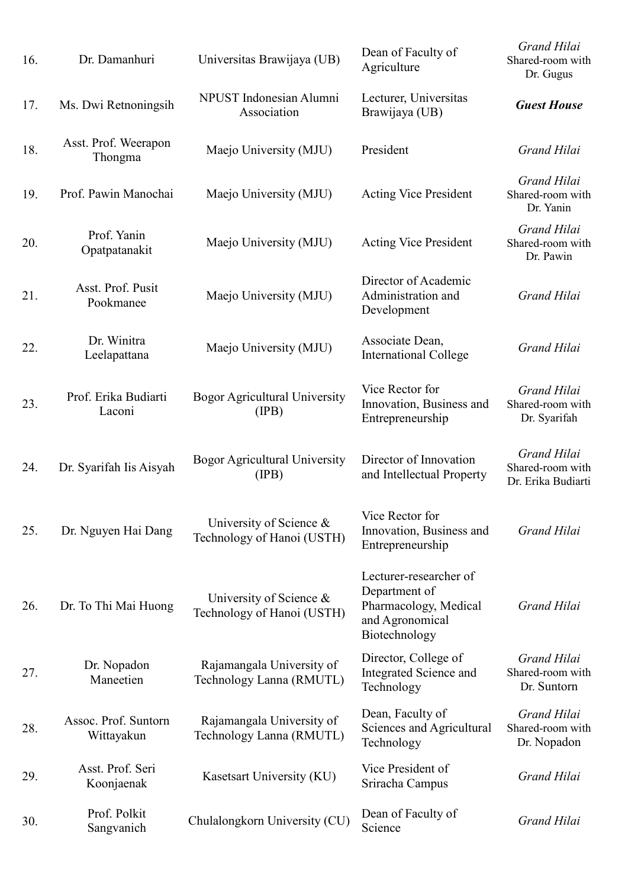| 16. | Dr. Damanhuri                      | Universitas Brawijaya (UB)                            | Dean of Faculty of<br>Agriculture                                                                    | Grand Hilai<br>Shared-room with<br>Dr. Gugus           |
|-----|------------------------------------|-------------------------------------------------------|------------------------------------------------------------------------------------------------------|--------------------------------------------------------|
| 17. | Ms. Dwi Retnoningsih               | NPUST Indonesian Alumni<br>Association                | Lecturer, Universitas<br>Brawijaya (UB)                                                              | <b>Guest House</b>                                     |
| 18. | Asst. Prof. Weerapon<br>Thongma    | Maejo University (MJU)                                | President                                                                                            | <b>Grand Hilai</b>                                     |
| 19. | Prof. Pawin Manochai               | Maejo University (MJU)                                | <b>Acting Vice President</b>                                                                         | <b>Grand Hilai</b><br>Shared-room with<br>Dr. Yanin    |
| 20. | Prof. Yanin<br>Opatpatanakit       | Maejo University (MJU)                                | <b>Acting Vice President</b>                                                                         | <b>Grand Hilai</b><br>Shared-room with<br>Dr. Pawin    |
| 21. | Asst. Prof. Pusit<br>Pookmanee     | Maejo University (MJU)                                | Director of Academic<br>Administration and<br>Development                                            | <b>Grand Hilai</b>                                     |
| 22. | Dr. Winitra<br>Leelapattana        | Maejo University (MJU)                                | Associate Dean,<br><b>International College</b>                                                      | <b>Grand Hilai</b>                                     |
| 23. | Prof. Erika Budiarti<br>Laconi     | <b>Bogor Agricultural University</b><br>(IPB)         | Vice Rector for<br>Innovation, Business and<br>Entrepreneurship                                      | <b>Grand Hilai</b><br>Shared-room with<br>Dr. Syarifah |
| 24. | Dr. Syarifah Iis Aisyah            | <b>Bogor Agricultural University</b><br>(IPB)         | Director of Innovation<br>and Intellectual Property                                                  | Grand Hilai<br>Shared-room with<br>Dr. Erika Budiarti  |
| 25. | Dr. Nguyen Hai Dang                | University of Science &<br>Technology of Hanoi (USTH) | Vice Rector for<br>Innovation, Business and<br>Entrepreneurship                                      | Grand Hilai                                            |
| 26. | Dr. To Thi Mai Huong               | University of Science &<br>Technology of Hanoi (USTH) | Lecturer-researcher of<br>Department of<br>Pharmacology, Medical<br>and Agronomical<br>Biotechnology | <b>Grand Hilai</b>                                     |
| 27. | Dr. Nopadon<br>Maneetien           | Rajamangala University of<br>Technology Lanna (RMUTL) | Director, College of<br>Integrated Science and<br>Technology                                         | <b>Grand Hilai</b><br>Shared-room with<br>Dr. Suntorn  |
| 28. | Assoc. Prof. Suntorn<br>Wittayakun | Rajamangala University of<br>Technology Lanna (RMUTL) | Dean, Faculty of<br>Sciences and Agricultural<br>Technology                                          | Grand Hilai<br>Shared-room with<br>Dr. Nopadon         |
| 29. | Asst. Prof. Seri<br>Koonjaenak     | Kasetsart University (KU)                             | Vice President of<br>Sriracha Campus                                                                 | Grand Hilai                                            |
| 30. | Prof. Polkit<br>Sangvanich         | Chulalongkorn University (CU)                         | Dean of Faculty of<br>Science                                                                        | Grand Hilai                                            |